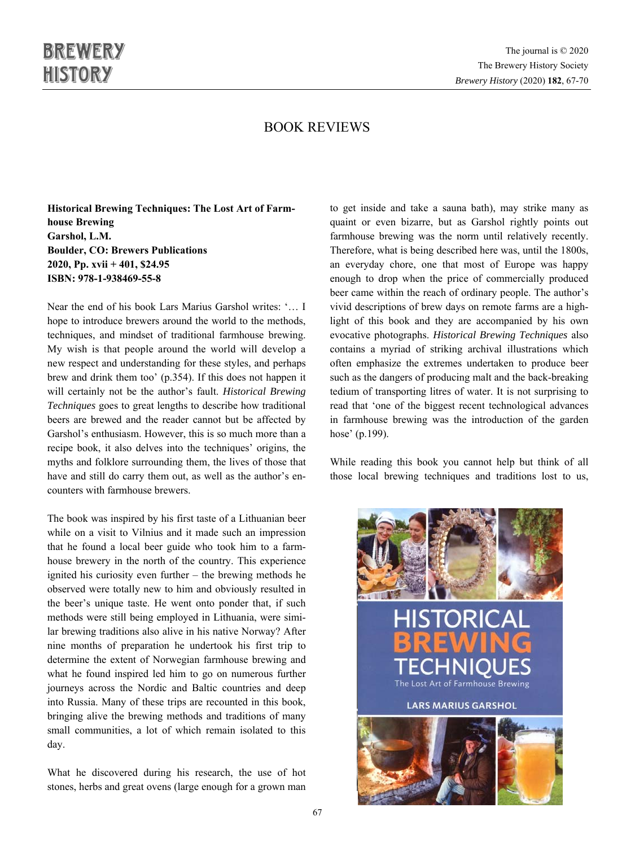## BOOK REVIEWS

**Historical Brewing Techniques: The Lost Art of Farmhouse Brewing Garshol, L.M. Boulder, CO: Brewers Publications 2020, Pp. xvii + 401, \$24.95 ISBN: 978-1-938469-55-8** 

Near the end of his book Lars Marius Garshol writes: '… I hope to introduce brewers around the world to the methods, techniques, and mindset of traditional farmhouse brewing. My wish is that people around the world will develop a new respect and understanding for these styles, and perhaps brew and drink them too' (p.354). If this does not happen it will certainly not be the author's fault. *Historical Brewing Techniques* goes to great lengths to describe how traditional beers are brewed and the reader cannot but be affected by Garshol's enthusiasm. However, this is so much more than a recipe book, it also delves into the techniques' origins, the myths and folklore surrounding them, the lives of those that have and still do carry them out, as well as the author's encounters with farmhouse brewers.

The book was inspired by his first taste of a Lithuanian beer while on a visit to Vilnius and it made such an impression that he found a local beer guide who took him to a farmhouse brewery in the north of the country. This experience ignited his curiosity even further – the brewing methods he observed were totally new to him and obviously resulted in the beer's unique taste. He went onto ponder that, if such methods were still being employed in Lithuania, were similar brewing traditions also alive in his native Norway? After nine months of preparation he undertook his first trip to determine the extent of Norwegian farmhouse brewing and what he found inspired led him to go on numerous further journeys across the Nordic and Baltic countries and deep into Russia. Many of these trips are recounted in this book, bringing alive the brewing methods and traditions of many small communities, a lot of which remain isolated to this day.

What he discovered during his research, the use of hot stones, herbs and great ovens (large enough for a grown man to get inside and take a sauna bath), may strike many as quaint or even bizarre, but as Garshol rightly points out farmhouse brewing was the norm until relatively recently. Therefore, what is being described here was, until the 1800s, an everyday chore, one that most of Europe was happy enough to drop when the price of commercially produced beer came within the reach of ordinary people. The author's vivid descriptions of brew days on remote farms are a highlight of this book and they are accompanied by his own evocative photographs. *Historical Brewing Techniques* also contains a myriad of striking archival illustrations which often emphasize the extremes undertaken to produce beer such as the dangers of producing malt and the back-breaking tedium of transporting litres of water. It is not surprising to read that 'one of the biggest recent technological advances in farmhouse brewing was the introduction of the garden hose' (p.199).

While reading this book you cannot help but think of all those local brewing techniques and traditions lost to us,

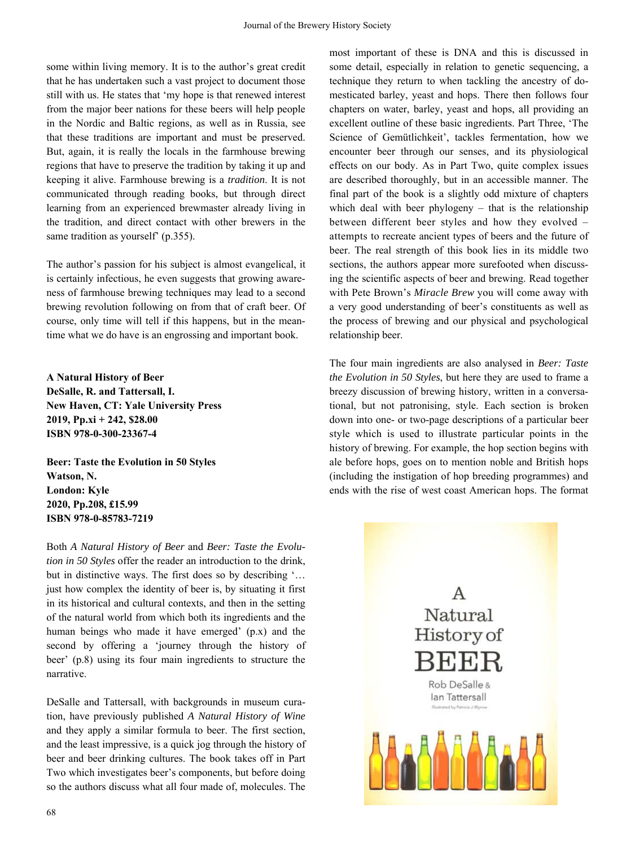some within living memory. It is to the author's great credit that he has undertaken such a vast project to document those still with us. He states that 'my hope is that renewed interest from the major beer nations for these beers will help people in the Nordic and Baltic regions, as well as in Russia, see that these traditions are important and must be preserved. But, again, it is really the locals in the farmhouse brewing regions that have to preserve the tradition by taking it up and keeping it alive. Farmhouse brewing is a *tradition*. It is not communicated through reading books, but through direct learning from an experienced brewmaster already living in the tradition, and direct contact with other brewers in the same tradition as yourself' (p.355).

The author's passion for his subject is almost evangelical, it is certainly infectious, he even suggests that growing awareness of farmhouse brewing techniques may lead to a second brewing revolution following on from that of craft beer. Of course, only time will tell if this happens, but in the meantime what we do have is an engrossing and important book.

**A Natural History of Beer DeSalle, R. and Tattersall, I. New Haven, CT: Yale University Press 2019, Pp.xi + 242, \$28.00 ISBN 978-0-300-23367-4** 

**Beer: Taste the Evolution in 50 Styles Watson, N. London: Kyle 2020, Pp.208, £15.99 ISBN 978-0-85783-7219** 

Both *A Natural History of Beer* and *Beer: Taste the Evolution in 50 Styles* offer the reader an introduction to the drink, but in distinctive ways. The first does so by describing '… just how complex the identity of beer is, by situating it first in its historical and cultural contexts, and then in the setting of the natural world from which both its ingredients and the human beings who made it have emerged' (p.x) and the second by offering a 'journey through the history of beer' (p.8) using its four main ingredients to structure the narrative.

DeSalle and Tattersall, with backgrounds in museum curation, have previously published *A Natural History of Wine*  and they apply a similar formula to beer. The first section, and the least impressive, is a quick jog through the history of beer and beer drinking cultures. The book takes off in Part Two which investigates beer's components, but before doing so the authors discuss what all four made of, molecules. The most important of these is DNA and this is discussed in some detail, especially in relation to genetic sequencing, a technique they return to when tackling the ancestry of domesticated barley, yeast and hops. There then follows four chapters on water, barley, yeast and hops, all providing an excellent outline of these basic ingredients. Part Three, 'The Science of Gemütlichkeit', tackles fermentation, how we encounter beer through our senses, and its physiological effects on our body. As in Part Two, quite complex issues are described thoroughly, but in an accessible manner. The final part of the book is a slightly odd mixture of chapters which deal with beer phylogeny – that is the relationship between different beer styles and how they evolved – attempts to recreate ancient types of beers and the future of beer. The real strength of this book lies in its middle two sections, the authors appear more surefooted when discussing the scientific aspects of beer and brewing. Read together with Pete Brown's *Miracle Brew* you will come away with a very good understanding of beer's constituents as well as the process of brewing and our physical and psychological relationship beer.

The four main ingredients are also analysed in *Beer: Taste the Evolution in 50 Styles*, but here they are used to frame a breezy discussion of brewing history, written in a conversational, but not patronising, style. Each section is broken down into one- or two-page descriptions of a particular beer style which is used to illustrate particular points in the history of brewing. For example, the hop section begins with ale before hops, goes on to mention noble and British hops (including the instigation of hop breeding programmes) and ends with the rise of west coast American hops. The format

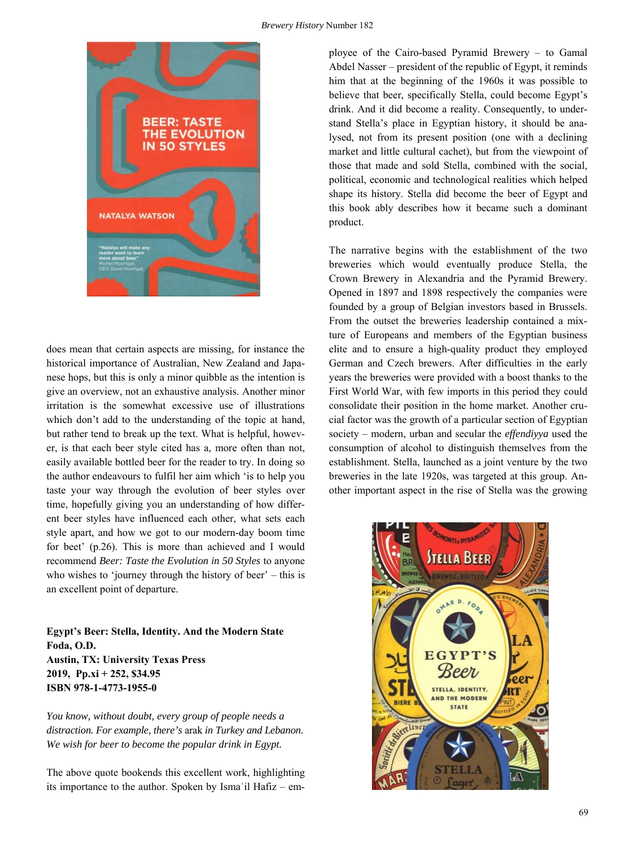

does mean that certain aspects are missing, for instance the historical importance of Australian, New Zealand and Japanese hops, but this is only a minor quibble as the intention is give an overview, not an exhaustive analysis. Another minor irritation is the somewhat excessive use of illustrations which don't add to the understanding of the topic at hand, but rather tend to break up the text. What is helpful, however, is that each beer style cited has a, more often than not, easily available bottled beer for the reader to try. In doing so the author endeavours to fulfil her aim which 'is to help you taste your way through the evolution of beer styles over time, hopefully giving you an understanding of how different beer styles have influenced each other, what sets each style apart, and how we got to our modern-day boom time for beet' (p.26). This is more than achieved and I would recommend *Beer: Taste the Evolution in 50 Styles* to anyone who wishes to 'journey through the history of beer' – this is an excellent point of departure.

**Egypt's Beer: Stella, Identity. And the Modern State Foda, O.D. Austin, TX: University Texas Press 2019, Pp.xi + 252, \$34.95 ISBN 978-1-4773-1955-0** 

*You know, without doubt, every group of people needs a distraction. For example, there's* arak *in Turkey and Lebanon. We wish for beer to become the popular drink in Egypt.* 

The above quote bookends this excellent work, highlighting its importance to the author. Spoken by Ismaʿil Hafiz – employee of the Cairo-based Pyramid Brewery – to Gamal Abdel Nasser – president of the republic of Egypt, it reminds him that at the beginning of the 1960s it was possible to believe that beer, specifically Stella, could become Egypt's drink. And it did become a reality. Consequently, to understand Stella's place in Egyptian history, it should be analysed, not from its present position (one with a declining market and little cultural cachet), but from the viewpoint of those that made and sold Stella, combined with the social, political, economic and technological realities which helped shape its history. Stella did become the beer of Egypt and this book ably describes how it became such a dominant product.

The narrative begins with the establishment of the two breweries which would eventually produce Stella, the Crown Brewery in Alexandria and the Pyramid Brewery. Opened in 1897 and 1898 respectively the companies were founded by a group of Belgian investors based in Brussels. From the outset the breweries leadership contained a mixture of Europeans and members of the Egyptian business elite and to ensure a high-quality product they employed German and Czech brewers. After difficulties in the early years the breweries were provided with a boost thanks to the First World War, with few imports in this period they could consolidate their position in the home market. Another crucial factor was the growth of a particular section of Egyptian society – modern, urban and secular the *effendiyya* used the consumption of alcohol to distinguish themselves from the establishment. Stella, launched as a joint venture by the two breweries in the late 1920s, was targeted at this group. Another important aspect in the rise of Stella was the growing